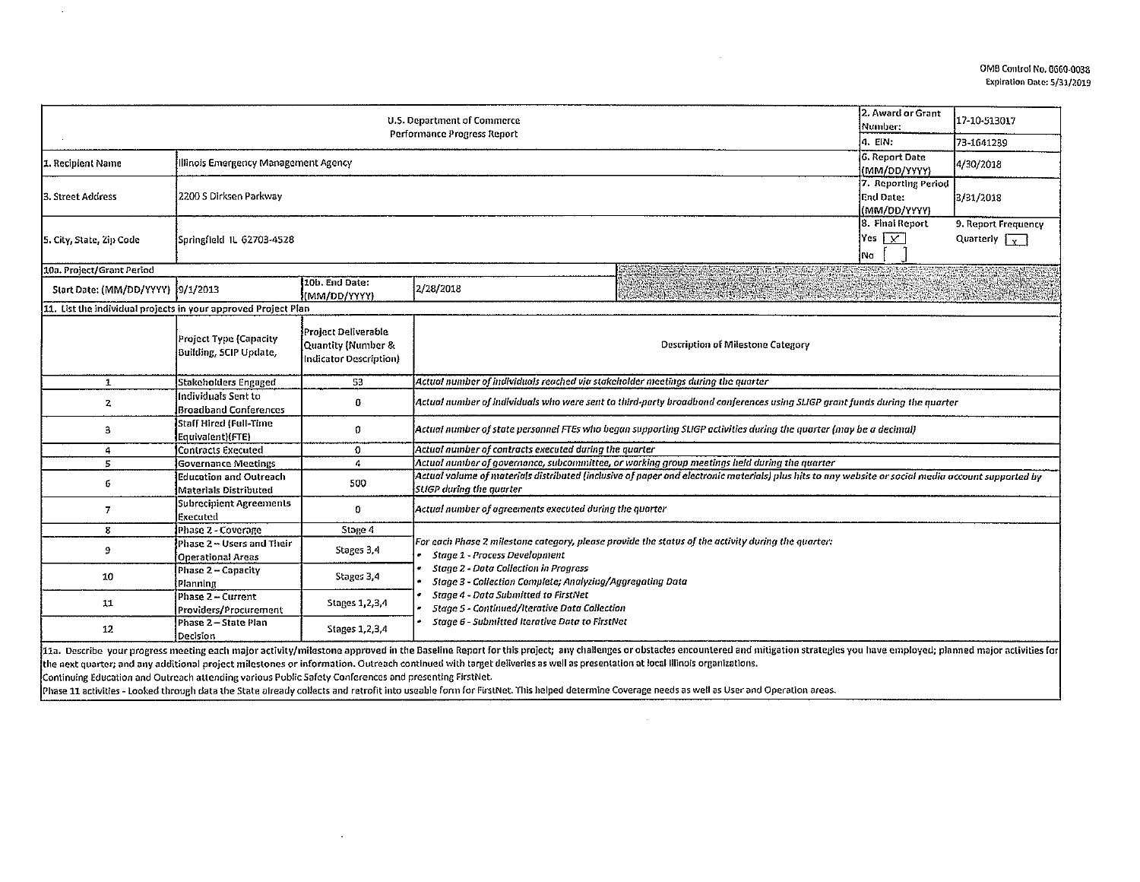|                                                                | 2. Award or Grant<br>Number:                            | 17-10-513017                                                        |                                                                                                                                                                                                                                                                                                                                                         |                         |                                |  |  |  |  |
|----------------------------------------------------------------|---------------------------------------------------------|---------------------------------------------------------------------|---------------------------------------------------------------------------------------------------------------------------------------------------------------------------------------------------------------------------------------------------------------------------------------------------------------------------------------------------------|-------------------------|--------------------------------|--|--|--|--|
|                                                                | a. ein:                                                 | 73-1641239                                                          |                                                                                                                                                                                                                                                                                                                                                         |                         |                                |  |  |  |  |
| Illinois Emergency Management Agency<br>1. Recipient Name      | <b>6. Report Date</b>                                   | 4/30/2018                                                           |                                                                                                                                                                                                                                                                                                                                                         |                         |                                |  |  |  |  |
|                                                                | (MM/DD/YYYY)                                            |                                                                     |                                                                                                                                                                                                                                                                                                                                                         |                         |                                |  |  |  |  |
|                                                                |                                                         |                                                                     |                                                                                                                                                                                                                                                                                                                                                         | 7. Reporting Period     |                                |  |  |  |  |
| 3. Street Address                                              | 2200 S Dirksen Parkway                                  |                                                                     |                                                                                                                                                                                                                                                                                                                                                         | End Date:               | 3/31/2018                      |  |  |  |  |
|                                                                |                                                         |                                                                     | l(MM/DD/YYYY)                                                                                                                                                                                                                                                                                                                                           |                         |                                |  |  |  |  |
|                                                                |                                                         |                                                                     |                                                                                                                                                                                                                                                                                                                                                         | 8. Final Report         | 9. Report Frequency            |  |  |  |  |
| 5. City, State, Zip Code                                       | Springfield IL 62703-4528                               |                                                                     |                                                                                                                                                                                                                                                                                                                                                         | Yes $\overline{ \vee }$ | Quarterly $\sqrt{\frac{1}{x}}$ |  |  |  |  |
|                                                                |                                                         | Na                                                                  |                                                                                                                                                                                                                                                                                                                                                         |                         |                                |  |  |  |  |
| 10a. Project/Grant Period                                      |                                                         |                                                                     |                                                                                                                                                                                                                                                                                                                                                         |                         |                                |  |  |  |  |
| Start Date: (MM/DD/YYYY) [9/1/2013                             |                                                         | 10b. End Date:                                                      | <b>STATISTICS</b><br>2/28/2018                                                                                                                                                                                                                                                                                                                          |                         |                                |  |  |  |  |
|                                                                |                                                         | (MM/DD/YYYY)                                                        |                                                                                                                                                                                                                                                                                                                                                         |                         |                                |  |  |  |  |
| 11. List the individual projects in your approved Project Plan |                                                         |                                                                     |                                                                                                                                                                                                                                                                                                                                                         |                         |                                |  |  |  |  |
|                                                                | Project Type (Capacity<br><b>Building, SCIP Update,</b> | Project Deliverable<br>Quantity (Number &<br>Indicator Description) | <b>Description of Milestone Category</b>                                                                                                                                                                                                                                                                                                                |                         |                                |  |  |  |  |
| $\mathbf{1}$                                                   | Stakeholders Engaged                                    | 53                                                                  | Actual number of individuals reached via stakeholder meetings during the quarter                                                                                                                                                                                                                                                                        |                         |                                |  |  |  |  |
| 2                                                              | Individuals Sent to<br><b>Broadband Conferences</b>     | 0                                                                   | Actual number of individuals who were sent to third-party broadband conferences using SLIGP grant funds during the quarter                                                                                                                                                                                                                              |                         |                                |  |  |  |  |
| 3                                                              | Staff Hired (Full-Time<br>Equivalent)(FTE)              | 0                                                                   | Actual number of state personnel FTEs who began supporting SLIGP activities during the quarter (may be a decimal)                                                                                                                                                                                                                                       |                         |                                |  |  |  |  |
| 4                                                              | Contracts Executed                                      | 0                                                                   | Actual number of contracts executed during the quarter                                                                                                                                                                                                                                                                                                  |                         |                                |  |  |  |  |
| 5                                                              | Governance Meetings                                     | 4                                                                   | Actual number of governance, subcommittee, or working group meetings held during the quarter                                                                                                                                                                                                                                                            |                         |                                |  |  |  |  |
| 6                                                              | <b>Education and Outreach</b><br>Materials Distributed  | 500                                                                 | Actual volume of materials distributed (inclusive of paper and electronic materials) plus hits to any website or social media account supported by<br><b>SLIGP</b> during the quarter                                                                                                                                                                   |                         |                                |  |  |  |  |
| $\overline{I}$                                                 | Subrecipient Agreements<br>Executed                     | 0                                                                   | Actual number of agreements executed during the quarter                                                                                                                                                                                                                                                                                                 |                         |                                |  |  |  |  |
| 8                                                              | Phase 2 - Coverage                                      | Stage 4                                                             |                                                                                                                                                                                                                                                                                                                                                         |                         |                                |  |  |  |  |
| 9                                                              | Phase 2 – Users and Their<br><b>Operational Areas</b>   | Stages 3,4                                                          | For each Phase 2 milestone category, please provide the status of the activity during the quarter:<br><b>Stage 1 - Process Development</b><br><b>Stage 2 - Data Collection in Progress</b><br>Stage 3 - Collection Complete; Analyzing/Aggregating Data<br>Stage 4 - Data Submitted to FirstNet<br><b>Stage 5 - Continued/Iterative Data Collection</b> |                         |                                |  |  |  |  |
| 10                                                             | Phase 2 - Capacity<br>Planning                          | Stages 3,4                                                          |                                                                                                                                                                                                                                                                                                                                                         |                         |                                |  |  |  |  |
| 11                                                             | Phase 2 - Current<br>Providers/Procurement              | Stages 1, 2, 3, 4                                                   |                                                                                                                                                                                                                                                                                                                                                         |                         |                                |  |  |  |  |
| 12                                                             | Phase 2-State Plan<br>Decision                          | Stages 1, 2, 3, 4                                                   | Stage 6 - Submitted Iterative Data to FirstNet                                                                                                                                                                                                                                                                                                          |                         |                                |  |  |  |  |
|                                                                |                                                         |                                                                     | 111a. Describe your progress meeting each major activity/milestone approved in the Baseline Report for this project; any challenges or obstacles encountered and mitigation strategies you have employed; planned major activi                                                                                                                          |                         |                                |  |  |  |  |

the next quarter; and any additional project milestones or information. Outreach continued with target deliveries as well as presentation at local illinois organizations.

 $\sim$ 

Continuing Education and Outreach attending various Public Safety Conferences and presenting FirstNet.

 $\mathcal{A}^{\mathcal{A}}$ 

Phase 11 activities - Looked through data the State already collects and retrofit into useable form for FirstNet. This helped determine Coverage needs as well as User and Operation areas.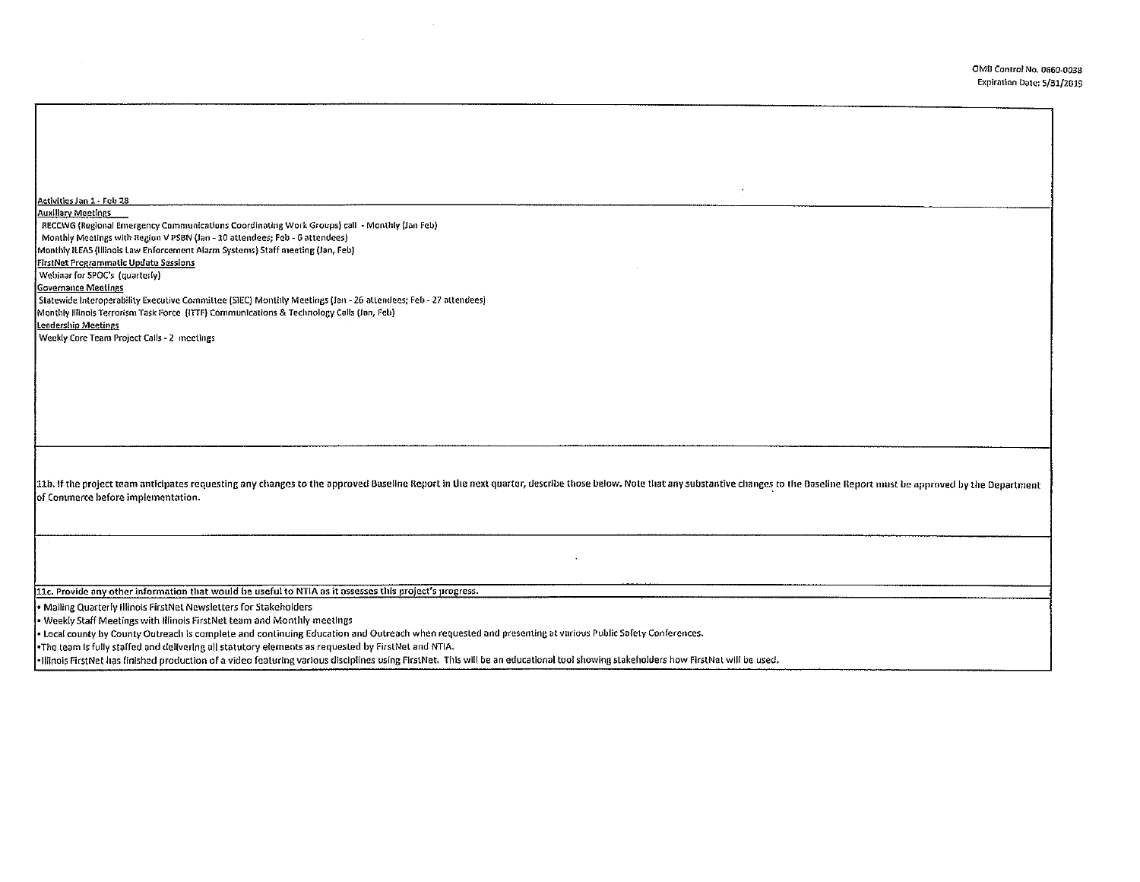| Activities Jan 1 - Feb 28<br><b>Auxillary Meetings</b><br>RECCWG (Regional Emergency Communications Coordinating Work Groups) call - Monthly (Jan Feb)<br>Monthly Meetings with Region V PSBN (Jan - 10 attendees; Feb - 6 attendees)<br>Monthly ILEAS (Illinois Law Enforcement Alarm Systems) Staff meeting (Jan, Feb)<br><b>FirstNet Programmatic Update Sessions</b><br>Webinar for SPOC's (quarterly)<br><b>Governance Meetings</b><br>Statewide Interoperability Executive Committee (SIEC) Monthly Meetings (Jan - 26 attendees; Feb - 27 attendees)<br>Monthly Illinols Terrorism Task Force (ITTF) Communications & Technology Calls (Jan, Feb)<br><b>Leadership Meetings</b><br>Weekly Core Team Project Calls - 2 meetings<br>11b. If the project team anticipates requesting any changes to the approved Baseline Report in the next quarter, describe those below. Note that any substantive changes to the Baseline Report must be approved by the Depart<br>of Commerce before implementation. |
|---------------------------------------------------------------------------------------------------------------------------------------------------------------------------------------------------------------------------------------------------------------------------------------------------------------------------------------------------------------------------------------------------------------------------------------------------------------------------------------------------------------------------------------------------------------------------------------------------------------------------------------------------------------------------------------------------------------------------------------------------------------------------------------------------------------------------------------------------------------------------------------------------------------------------------------------------------------------------------------------------------------|
|                                                                                                                                                                                                                                                                                                                                                                                                                                                                                                                                                                                                                                                                                                                                                                                                                                                                                                                                                                                                               |
|                                                                                                                                                                                                                                                                                                                                                                                                                                                                                                                                                                                                                                                                                                                                                                                                                                                                                                                                                                                                               |
|                                                                                                                                                                                                                                                                                                                                                                                                                                                                                                                                                                                                                                                                                                                                                                                                                                                                                                                                                                                                               |
|                                                                                                                                                                                                                                                                                                                                                                                                                                                                                                                                                                                                                                                                                                                                                                                                                                                                                                                                                                                                               |
|                                                                                                                                                                                                                                                                                                                                                                                                                                                                                                                                                                                                                                                                                                                                                                                                                                                                                                                                                                                                               |
|                                                                                                                                                                                                                                                                                                                                                                                                                                                                                                                                                                                                                                                                                                                                                                                                                                                                                                                                                                                                               |
|                                                                                                                                                                                                                                                                                                                                                                                                                                                                                                                                                                                                                                                                                                                                                                                                                                                                                                                                                                                                               |
|                                                                                                                                                                                                                                                                                                                                                                                                                                                                                                                                                                                                                                                                                                                                                                                                                                                                                                                                                                                                               |
|                                                                                                                                                                                                                                                                                                                                                                                                                                                                                                                                                                                                                                                                                                                                                                                                                                                                                                                                                                                                               |
|                                                                                                                                                                                                                                                                                                                                                                                                                                                                                                                                                                                                                                                                                                                                                                                                                                                                                                                                                                                                               |
|                                                                                                                                                                                                                                                                                                                                                                                                                                                                                                                                                                                                                                                                                                                                                                                                                                                                                                                                                                                                               |
|                                                                                                                                                                                                                                                                                                                                                                                                                                                                                                                                                                                                                                                                                                                                                                                                                                                                                                                                                                                                               |
|                                                                                                                                                                                                                                                                                                                                                                                                                                                                                                                                                                                                                                                                                                                                                                                                                                                                                                                                                                                                               |
|                                                                                                                                                                                                                                                                                                                                                                                                                                                                                                                                                                                                                                                                                                                                                                                                                                                                                                                                                                                                               |
|                                                                                                                                                                                                                                                                                                                                                                                                                                                                                                                                                                                                                                                                                                                                                                                                                                                                                                                                                                                                               |
|                                                                                                                                                                                                                                                                                                                                                                                                                                                                                                                                                                                                                                                                                                                                                                                                                                                                                                                                                                                                               |
|                                                                                                                                                                                                                                                                                                                                                                                                                                                                                                                                                                                                                                                                                                                                                                                                                                                                                                                                                                                                               |
|                                                                                                                                                                                                                                                                                                                                                                                                                                                                                                                                                                                                                                                                                                                                                                                                                                                                                                                                                                                                               |
|                                                                                                                                                                                                                                                                                                                                                                                                                                                                                                                                                                                                                                                                                                                                                                                                                                                                                                                                                                                                               |
|                                                                                                                                                                                                                                                                                                                                                                                                                                                                                                                                                                                                                                                                                                                                                                                                                                                                                                                                                                                                               |
|                                                                                                                                                                                                                                                                                                                                                                                                                                                                                                                                                                                                                                                                                                                                                                                                                                                                                                                                                                                                               |
|                                                                                                                                                                                                                                                                                                                                                                                                                                                                                                                                                                                                                                                                                                                                                                                                                                                                                                                                                                                                               |
|                                                                                                                                                                                                                                                                                                                                                                                                                                                                                                                                                                                                                                                                                                                                                                                                                                                                                                                                                                                                               |
|                                                                                                                                                                                                                                                                                                                                                                                                                                                                                                                                                                                                                                                                                                                                                                                                                                                                                                                                                                                                               |
|                                                                                                                                                                                                                                                                                                                                                                                                                                                                                                                                                                                                                                                                                                                                                                                                                                                                                                                                                                                                               |
|                                                                                                                                                                                                                                                                                                                                                                                                                                                                                                                                                                                                                                                                                                                                                                                                                                                                                                                                                                                                               |
|                                                                                                                                                                                                                                                                                                                                                                                                                                                                                                                                                                                                                                                                                                                                                                                                                                                                                                                                                                                                               |
|                                                                                                                                                                                                                                                                                                                                                                                                                                                                                                                                                                                                                                                                                                                                                                                                                                                                                                                                                                                                               |
|                                                                                                                                                                                                                                                                                                                                                                                                                                                                                                                                                                                                                                                                                                                                                                                                                                                                                                                                                                                                               |
|                                                                                                                                                                                                                                                                                                                                                                                                                                                                                                                                                                                                                                                                                                                                                                                                                                                                                                                                                                                                               |
| 11c. Provide any other information that would be useful to NTIA as it assesses this project's progress.                                                                                                                                                                                                                                                                                                                                                                                                                                                                                                                                                                                                                                                                                                                                                                                                                                                                                                       |
| Mailing Quarterly Illinois FirstNet Newsletters for Stakeholders                                                                                                                                                                                                                                                                                                                                                                                                                                                                                                                                                                                                                                                                                                                                                                                                                                                                                                                                              |
| Weekly Staff Meetings with Illinois FirstNet team and Monthly meetings                                                                                                                                                                                                                                                                                                                                                                                                                                                                                                                                                                                                                                                                                                                                                                                                                                                                                                                                        |
| . Local county by County Outreach is complete and continuing Education and Outreach when requested and presenting at various Public Safety Conferences.                                                                                                                                                                                                                                                                                                                                                                                                                                                                                                                                                                                                                                                                                                                                                                                                                                                       |
| -The team is fully staffed and delivering all statutory elements as requested by FirstNet and NTIA.                                                                                                                                                                                                                                                                                                                                                                                                                                                                                                                                                                                                                                                                                                                                                                                                                                                                                                           |
| -Illinois FirstNet has finished production of a video featuring various disciplines using FirstNet. This will be an educational tool showing stakeholders how FirstNet will be used.                                                                                                                                                                                                                                                                                                                                                                                                                                                                                                                                                                                                                                                                                                                                                                                                                          |

 $\label{eq:2.1} \frac{1}{\sqrt{2\pi}}\int_{0}^{\infty}\frac{1}{\sqrt{2\pi}}\left(\frac{1}{\sqrt{2\pi}}\right)^{2\pi}d\mu$ 

 $\mathcal{L}^{\text{max}}_{\text{max}}$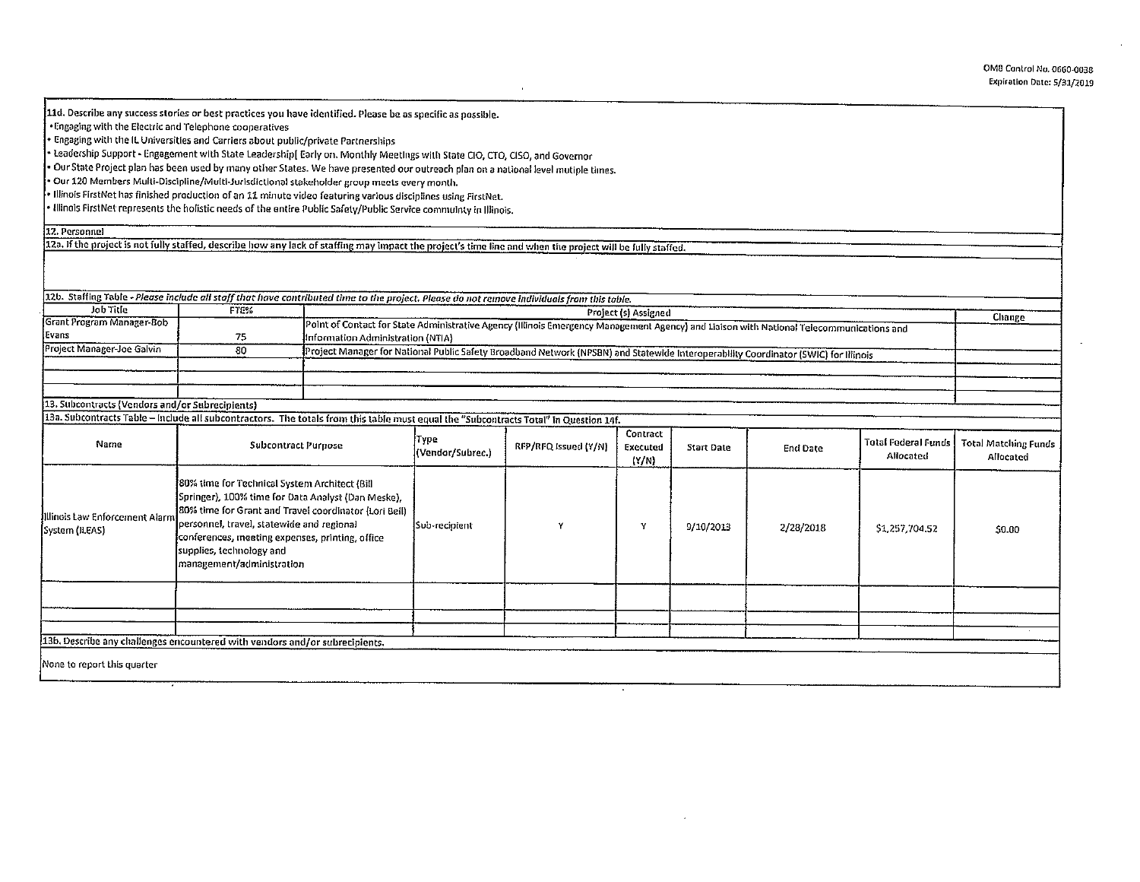## OMO Control No. 0660·0038 Expiration Date: 5/31/2019

lld. Describe any success stories or best practices you have identified. Please be as specific as possible.

•Engaging with the Electric and Telephone cooperatives

• Engaging with the IL Universities and Carriers aboul public/private Partnerships

• Leadership Support· Engagement with Slate leadership[ Early on, Monthly Meetings with Slate CIO, CTO, CISO, and Governor

• Our State Project plan has been used by rnany other States. We have presented our outreach plan on a national level mutiple times.

• Our 120 Members Multi-Discipline/Multi-Jurisdictional stakeholder group meets every month.

• Illinois FirstNet has finished production of an 11 minute video featuring various disciplines using FirstNet.

• Illinois FirstNet represents the holistic needs of the entire Public Safety/Public Service commulnty in Illinois.

12. Personnel

12a. If the project is not fully staffed, describe how any lack of staffing may impact the project's time line and when the project will be fully staffed.

| 12b. Staffing Table - Please include all staff that have contributed time to the project. Please do not remove individuals from this table. |                                                                                                                                                                                                                                                                                                                       |                                                                                                                                                                               |                          |                      |                               |                   |                 |                                         |                                          |
|---------------------------------------------------------------------------------------------------------------------------------------------|-----------------------------------------------------------------------------------------------------------------------------------------------------------------------------------------------------------------------------------------------------------------------------------------------------------------------|-------------------------------------------------------------------------------------------------------------------------------------------------------------------------------|--------------------------|----------------------|-------------------------------|-------------------|-----------------|-----------------------------------------|------------------------------------------|
| Job Title<br>Grant Program Manager-Bob                                                                                                      | FTE%                                                                                                                                                                                                                                                                                                                  | Project (s) Assigned                                                                                                                                                          |                          |                      |                               |                   |                 |                                         | Change                                   |
| Evans                                                                                                                                       | 75                                                                                                                                                                                                                                                                                                                    | Point of Contact for State Administrative Agency (Illinois Emergency Management Agency) and Liaison with National Telecommunications and<br>Information Administration (NTIA) |                          |                      |                               |                   |                 |                                         |                                          |
| Project Manager-Joe Galvin                                                                                                                  | -80                                                                                                                                                                                                                                                                                                                   | Project Manager for National Public Safety Broadband Network (NPSBN) and Statewide Interoperability Coordinator (SWIC) for Illinois                                           |                          |                      |                               |                   |                 |                                         |                                          |
|                                                                                                                                             |                                                                                                                                                                                                                                                                                                                       |                                                                                                                                                                               |                          |                      |                               |                   |                 |                                         |                                          |
| 13. Subcontracts (Vendors and/or Subrecipients)                                                                                             |                                                                                                                                                                                                                                                                                                                       |                                                                                                                                                                               |                          |                      |                               |                   |                 |                                         |                                          |
| Name                                                                                                                                        | 13a. Subcontracts Table - Include all subcontractors. The totals from this table must equal the "Subcontracts Total" in Question 14f.<br><b>Subcontract Purpose</b>                                                                                                                                                   |                                                                                                                                                                               | Type<br>(Vendor/Subrec.) | RFP/RFQ Issued (Y/N) | Contract<br>Executed<br>(Y/N) | <b>Start Date</b> | <b>End Date</b> | <b>Total Federal Funds</b><br>Allocated | <b>Total Matching Funds</b><br>Allocated |
| Illinois Law Enforcement Alarm<br>System (ILEAS)                                                                                            | 80% time for Technical System Architect (Bill<br>Springer), 100% time for Data Analyst (Dan Meske),<br>80% time for Grant and Travel coordinator (Lori Beil)<br>personnel, travel, statewide and regional<br>conferences, meeting expenses, printing, office<br>supplies, technology and<br>management/administration |                                                                                                                                                                               | Sub-recipient            |                      | Y                             | 9/10/2013         | 2/28/2018       | 51,257,704.52                           | 50.00                                    |
|                                                                                                                                             |                                                                                                                                                                                                                                                                                                                       |                                                                                                                                                                               |                          |                      |                               |                   |                 |                                         |                                          |
|                                                                                                                                             |                                                                                                                                                                                                                                                                                                                       |                                                                                                                                                                               |                          |                      |                               |                   |                 |                                         |                                          |
| 13b. Describe any challenges encountered with vendors and/or subrecipients.                                                                 |                                                                                                                                                                                                                                                                                                                       |                                                                                                                                                                               |                          |                      |                               |                   |                 |                                         |                                          |
|                                                                                                                                             |                                                                                                                                                                                                                                                                                                                       |                                                                                                                                                                               |                          |                      |                               |                   |                 |                                         |                                          |
| None to report this quarter                                                                                                                 |                                                                                                                                                                                                                                                                                                                       |                                                                                                                                                                               |                          |                      |                               |                   |                 |                                         |                                          |

 $\epsilon$ 

 $\mathcal{A}^{\prime}$